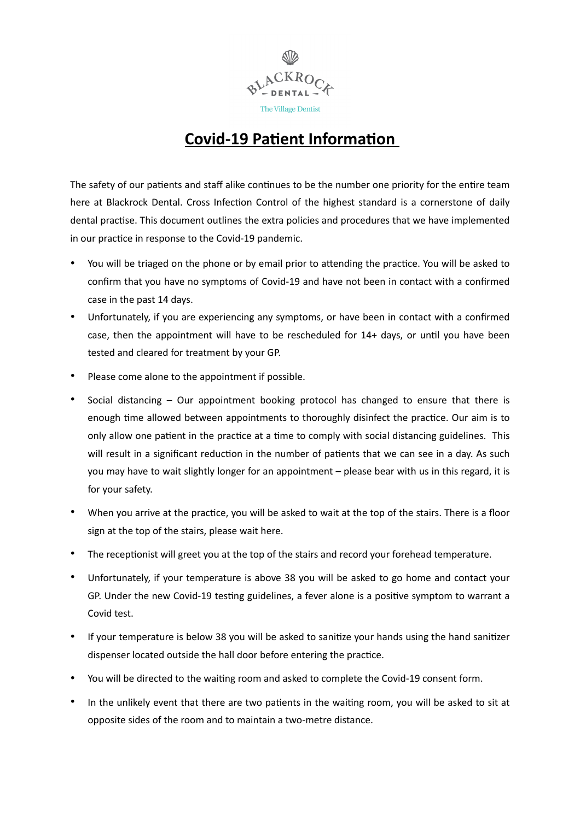

## **Covid-19 Patient Information**

The safety of our patients and staff alike continues to be the number one priority for the entire team here at Blackrock Dental. Cross Infection Control of the highest standard is a cornerstone of daily dental practise. This document outlines the extra policies and procedures that we have implemented in our practice in response to the Covid-19 pandemic.

- You will be triaged on the phone or by email prior to attending the practice. You will be asked to confirm that you have no symptoms of Covid-19 and have not been in contact with a confirmed case in the past 14 days.
- Unfortunately, if you are experiencing any symptoms, or have been in contact with a confirmed case, then the appointment will have to be rescheduled for 14+ days, or until you have been tested and cleared for treatment by your GP.
- Please come alone to the appointment if possible.
- Social distancing Our appointment booking protocol has changed to ensure that there is enough time allowed between appointments to thoroughly disinfect the practice. Our aim is to only allow one patient in the practice at a time to comply with social distancing guidelines. This will result in a significant reduction in the number of patients that we can see in a day. As such you may have to wait slightly longer for an appointment – please bear with us in this regard, it is for your safety.
- When you arrive at the practice, you will be asked to wait at the top of the stairs. There is a floor sign at the top of the stairs, please wait here.
- The receptionist will greet you at the top of the stairs and record your forehead temperature.
- Unfortunately, if your temperature is above 38 you will be asked to go home and contact your GP. Under the new Covid-19 testing guidelines, a fever alone is a positive symptom to warrant a Covid test.
- If your temperature is below 38 you will be asked to sanitize your hands using the hand sanitizer dispenser located outside the hall door before entering the practice.
- You will be directed to the waiting room and asked to complete the Covid-19 consent form.
- In the unlikely event that there are two patients in the waiting room, you will be asked to sit at opposite sides of the room and to maintain a two-metre distance.